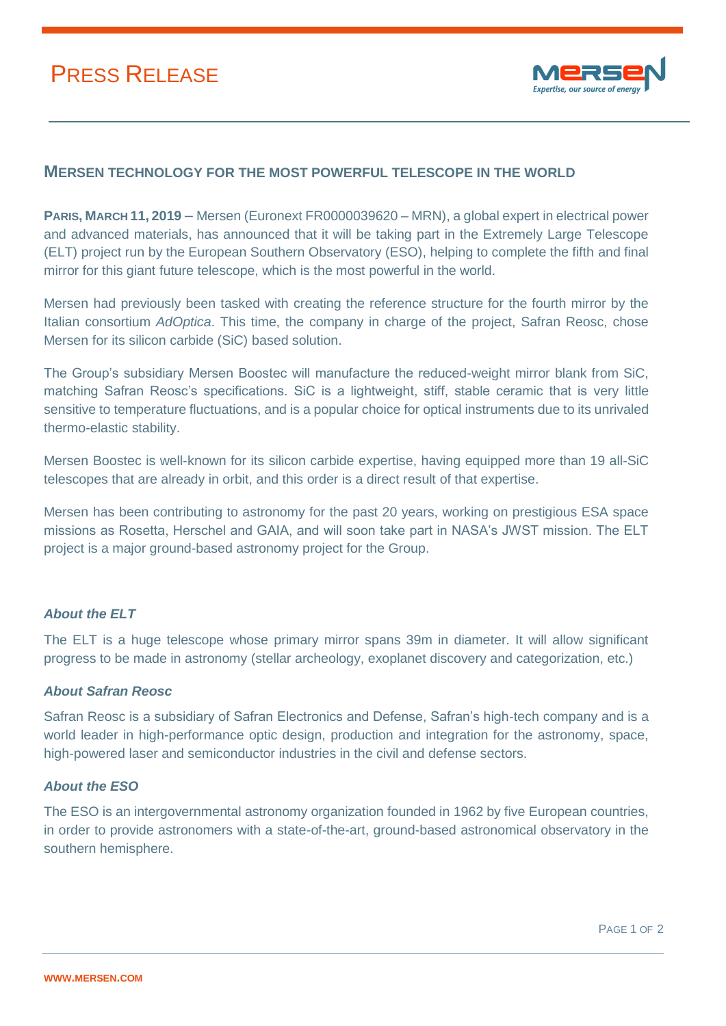# PRESS RELEASE



### **MERSEN TECHNOLOGY FOR THE MOST POWERFUL TELESCOPE IN THE WORLD**

**PARIS, MARCH 11, 2019** – Mersen (Euronext FR0000039620 – MRN), a global expert in electrical power and advanced materials, has announced that it will be taking part in the Extremely Large Telescope (ELT) project run by the European Southern Observatory (ESO), helping to complete the fifth and final mirror for this giant future telescope, which is the most powerful in the world.

Mersen had previously been tasked with creating the reference structure for the fourth mirror by the Italian consortium *AdOptica*. This time, the company in charge of the project, Safran Reosc, chose Mersen for its silicon carbide (SiC) based solution.

The Group's subsidiary Mersen Boostec will manufacture the reduced-weight mirror blank from SiC, matching Safran Reosc's specifications. SiC is a lightweight, stiff, stable ceramic that is very little sensitive to temperature fluctuations, and is a popular choice for optical instruments due to its unrivaled thermo-elastic stability.

Mersen Boostec is well-known for its silicon carbide expertise, having equipped more than 19 all-SiC telescopes that are already in orbit, and this order is a direct result of that expertise.

Mersen has been contributing to astronomy for the past 20 years, working on prestigious ESA space missions as Rosetta, Herschel and GAIA, and will soon take part in NASA's JWST mission. The ELT project is a major ground-based astronomy project for the Group.

#### *About the ELT*

The ELT is a huge telescope whose primary mirror spans 39m in diameter. It will allow significant progress to be made in astronomy (stellar archeology, exoplanet discovery and categorization, etc.)

#### *About Safran Reosc*

Safran Reosc is a subsidiary of Safran Electronics and Defense, Safran's high-tech company and is a world leader in high-performance optic design, production and integration for the astronomy, space, high-powered laser and semiconductor industries in the civil and defense sectors.

#### *About the ESO*

The ESO is an intergovernmental astronomy organization founded in 1962 by five European countries, in order to provide astronomers with a state-of-the-art, ground-based astronomical observatory in the southern hemisphere.